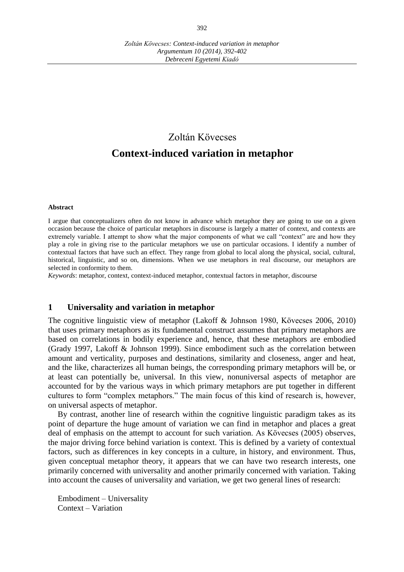# Zoltán Kövecses **Context-induced variation in metaphor**

#### **Abstract**

I argue that conceptualizers often do not know in advance which metaphor they are going to use on a given occasion because the choice of particular metaphors in discourse is largely a matter of context, and contexts are extremely variable. I attempt to show what the major components of what we call "context" are and how they play a role in giving rise to the particular metaphors we use on particular occasions. I identify a number of contextual factors that have such an effect. They range from global to local along the physical, social, cultural, historical, linguistic, and so on, dimensions. When we use metaphors in real discourse, our metaphors are selected in conformity to them.

*Keywords*: metaphor, context, context-induced metaphor, contextual factors in metaphor, discourse

#### **1 Universality and variation in metaphor**

The cognitive linguistic view of metaphor (Lakoff & Johnson 1980, Kövecses 2006, 2010) that uses primary metaphors as its fundamental construct assumes that primary metaphors are based on correlations in bodily experience and, hence, that these metaphors are embodied (Grady 1997, Lakoff & Johnson 1999). Since embodiment such as the correlation between amount and verticality, purposes and destinations, similarity and closeness, anger and heat, and the like, characterizes all human beings, the corresponding primary metaphors will be, or at least can potentially be, universal. In this view, nonuniversal aspects of metaphor are accounted for by the various ways in which primary metaphors are put together in different cultures to form "complex metaphors." The main focus of this kind of research is, however, on universal aspects of metaphor.

By contrast, another line of research within the cognitive linguistic paradigm takes as its point of departure the huge amount of variation we can find in metaphor and places a great deal of emphasis on the attempt to account for such variation. As Kövecses (2005) observes, the major driving force behind variation is context. This is defined by a variety of contextual factors, such as differences in key concepts in a culture, in history, and environment. Thus, given conceptual metaphor theory, it appears that we can have two research interests, one primarily concerned with universality and another primarily concerned with variation. Taking into account the causes of universality and variation, we get two general lines of research:

Embodiment – Universality Context – Variation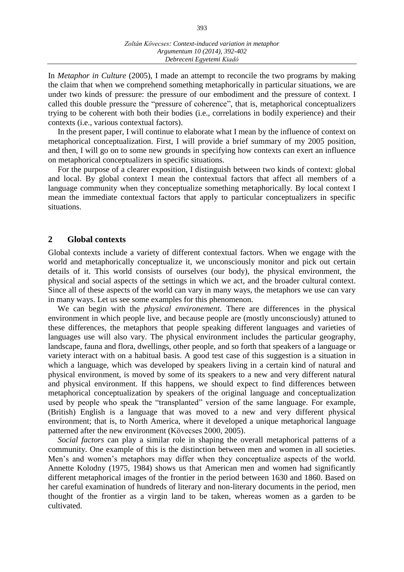In *Metaphor in Culture* (2005), I made an attempt to reconcile the two programs by making the claim that when we comprehend something metaphorically in particular situations, we are under two kinds of pressure: the pressure of our embodiment and the pressure of context. I called this double pressure the "pressure of coherence", that is, metaphorical conceptualizers trying to be coherent with both their bodies (i.e., correlations in bodily experience) and their contexts (i.e., various contextual factors).

In the present paper, I will continue to elaborate what I mean by the influence of context on metaphorical conceptualization. First, I will provide a brief summary of my 2005 position, and then, I will go on to some new grounds in specifying how contexts can exert an influence on metaphorical conceptualizers in specific situations.

For the purpose of a clearer exposition, I distinguish between two kinds of context: global and local. By global context I mean the contextual factors that affect all members of a language community when they conceptualize something metaphorically. By local context I mean the immediate contextual factors that apply to particular conceptualizers in specific situations.

## **2 Global contexts**

Global contexts include a variety of different contextual factors. When we engage with the world and metaphorically conceptualize it, we unconsciously monitor and pick out certain details of it. This world consists of ourselves (our body), the physical environment, the physical and social aspects of the settings in which we act, and the broader cultural context. Since all of these aspects of the world can vary in many ways, the metaphors we use can vary in many ways. Let us see some examples for this phenomenon.

We can begin with the *physical environement*. There are differences in the physical environment in which people live, and because people are (mostly unconsciously) attuned to these differences, the metaphors that people speaking different languages and varieties of languages use will also vary. The physical environment includes the particular geography, landscape, fauna and flora, dwellings, other people, and so forth that speakers of a language or variety interact with on a habitual basis. A good test case of this suggestion is a situation in which a language, which was developed by speakers living in a certain kind of natural and physical environment, is moved by some of its speakers to a new and very different natural and physical environment. If this happens, we should expect to find differences between metaphorical conceptualization by speakers of the original language and conceptualization used by people who speak the "transplanted" version of the same language. For example, (British) English is a language that was moved to a new and very different physical environment; that is, to North America, where it developed a unique metaphorical language patterned after the new environment (Kövecses 2000, 2005).

*Social factors* can play a similar role in shaping the overall metaphorical patterns of a community. One example of this is the distinction between men and women in all societies. Men's and women's metaphors may differ when they conceptualize aspects of the world. Annette Kolodny (1975, 1984) shows us that American men and women had significantly different metaphorical images of the frontier in the period between 1630 and 1860. Based on her careful examination of hundreds of literary and non-literary documents in the period, men thought of the frontier as a virgin land to be taken, whereas women as a garden to be cultivated.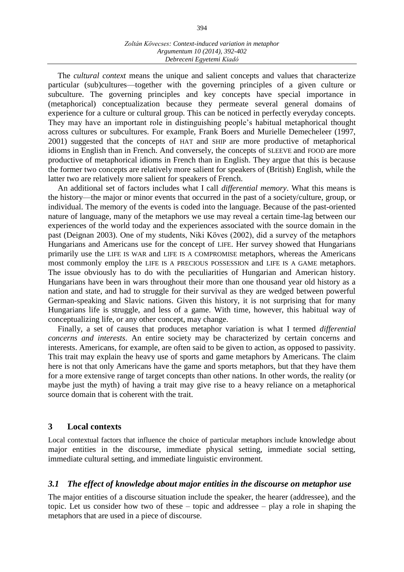The *cultural context* means the unique and salient concepts and values that characterize particular (sub)cultures—together with the governing principles of a given culture or subculture. The governing principles and key concepts have special importance in (metaphorical) conceptualization because they permeate several general domains of experience for a culture or cultural group. This can be noticed in perfectly everyday concepts. They may have an important role in distinguishing people's habitual metaphorical thought across cultures or subcultures. For example, Frank Boers and Murielle Demecheleer (1997, 2001) suggested that the concepts of HAT and SHIP are more productive of metaphorical idioms in English than in French. And conversely, the concepts of SLEEVE and FOOD are more productive of metaphorical idioms in French than in English. They argue that this is because the former two concepts are relatively more salient for speakers of (British) English, while the latter two are relatively more salient for speakers of French.

An additional set of factors includes what I call *differential memory*. What this means is the history—the major or minor events that occurred in the past of a society/culture, group, or individual. The memory of the events is coded into the language. Because of the past-oriented nature of language, many of the metaphors we use may reveal a certain time-lag between our experiences of the world today and the experiences associated with the source domain in the past (Deignan 2003). One of my students, Niki Köves (2002), did a survey of the metaphors Hungarians and Americans use for the concept of LIFE. Her survey showed that Hungarians primarily use the LIFE IS WAR and LIFE IS A COMPROMISE metaphors, whereas the Americans most commonly employ the LIFE IS A PRECIOUS POSSESSION and LIFE IS A GAME metaphors. The issue obviously has to do with the peculiarities of Hungarian and American history. Hungarians have been in wars throughout their more than one thousand year old history as a nation and state, and had to struggle for their survival as they are wedged between powerful German-speaking and Slavic nations. Given this history, it is not surprising that for many Hungarians life is struggle, and less of a game. With time, however, this habitual way of conceptualizing life, or any other concept, may change.

Finally, a set of causes that produces metaphor variation is what I termed *differential concerns and interests*. An entire society may be characterized by certain concerns and interests. Americans, for example, are often said to be given to action, as opposed to passivity. This trait may explain the heavy use of sports and game metaphors by Americans. The claim here is not that only Americans have the game and sports metaphors, but that they have them for a more extensive range of target concepts than other nations. In other words, the reality (or maybe just the myth) of having a trait may give rise to a heavy reliance on a metaphorical source domain that is coherent with the trait.

## **3 Local contexts**

Local contextual factors that influence the choice of particular metaphors include knowledge about major entities in the discourse, immediate physical setting, immediate social setting, immediate cultural setting, and immediate linguistic environment.

## *3.1 The effect of knowledge about major entities in the discourse on metaphor use*

The major entities of a discourse situation include the speaker, the hearer (addressee), and the topic. Let us consider how two of these – topic and addressee – play a role in shaping the metaphors that are used in a piece of discourse.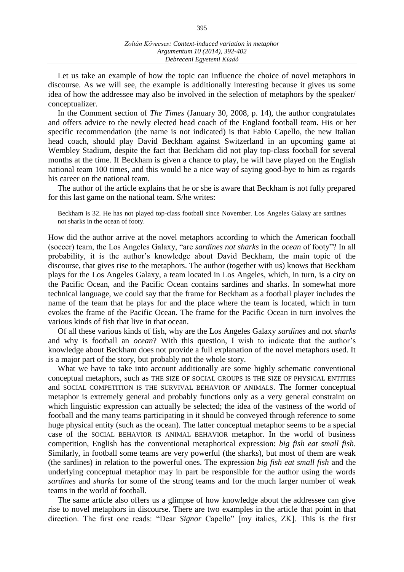Let us take an example of how the topic can influence the choice of novel metaphors in discourse. As we will see, the example is additionally interesting because it gives us some idea of how the addressee may also be involved in the selection of metaphors by the speaker/ conceptualizer.

In the Comment section of *The Times* (January 30, 2008, p. 14), the author congratulates and offers advice to the newly elected head coach of the England football team. His or her specific recommendation (the name is not indicated) is that Fabio Capello, the new Italian head coach, should play David Beckham against Switzerland in an upcoming game at Wembley Stadium, despite the fact that Beckham did not play top-class football for several months at the time. If Beckham is given a chance to play, he will have played on the English national team 100 times, and this would be a nice way of saying good-bye to him as regards his career on the national team.

The author of the article explains that he or she is aware that Beckham is not fully prepared for this last game on the national team. S/he writes:

Beckham is 32. He has not played top-class football since November. Los Angeles Galaxy are sardines not sharks in the ocean of footy.

How did the author arrive at the novel metaphors according to which the American football (soccer) team, the Los Angeles Galaxy, "are *sardines not sharks* in the *ocean* of footy"? In all probability, it is the author's knowledge about David Beckham, the main topic of the discourse, that gives rise to the metaphors. The author (together with us) knows that Beckham plays for the Los Angeles Galaxy, a team located in Los Angeles, which, in turn, is a city on the Pacific Ocean, and the Pacific Ocean contains sardines and sharks. In somewhat more technical language, we could say that the frame for Beckham as a football player includes the name of the team that he plays for and the place where the team is located, which in turn evokes the frame of the Pacific Ocean. The frame for the Pacific Ocean in turn involves the various kinds of fish that live in that ocean.

Of all these various kinds of fish, why are the Los Angeles Galaxy *sardines* and not *sharks* and why is football an *ocean*? With this question, I wish to indicate that the author's knowledge about Beckham does not provide a full explanation of the novel metaphors used. It is a major part of the story, but probably not the whole story.

What we have to take into account additionally are some highly schematic conventional conceptual metaphors, such as THE SIZE OF SOCIAL GROUPS IS THE SIZE OF PHYSICAL ENTITIES and SOCIAL COMPETITION IS THE SURVIVAL BEHAVIOR OF ANIMALS. The former conceptual metaphor is extremely general and probably functions only as a very general constraint on which linguistic expression can actually be selected; the idea of the vastness of the world of football and the many teams participating in it should be conveyed through reference to some huge physical entity (such as the ocean). The latter conceptual metaphor seems to be a special case of the SOCIAL BEHAVIOR IS ANIMAL BEHAVIOR metaphor. In the world of business competition, English has the conventional metaphorical expression: *big fish eat small fish*. Similarly, in football some teams are very powerful (the sharks), but most of them are weak (the sardines) in relation to the powerful ones. The expression *big fish eat small fish* and the underlying conceptual metaphor may in part be responsible for the author using the words *sardines* and *sharks* for some of the strong teams and for the much larger number of weak teams in the world of football.

The same article also offers us a glimpse of how knowledge about the addressee can give rise to novel metaphors in discourse. There are two examples in the article that point in that direction. The first one reads: "Dear *Signor* Capello" [my italics, ZK]. This is the first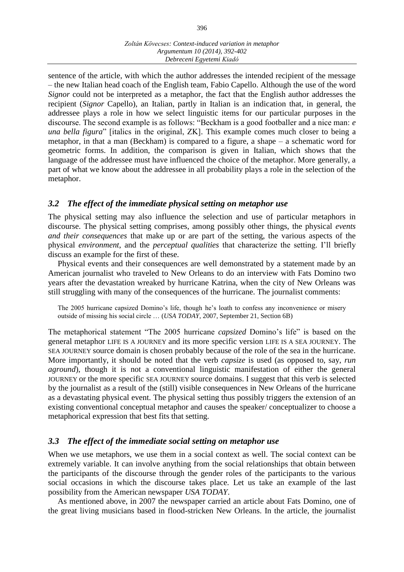sentence of the article, with which the author addresses the intended recipient of the message – the new Italian head coach of the English team, Fabio Capello. Although the use of the word *Signor* could not be interpreted as a metaphor, the fact that the English author addresses the recipient (*Signor* Capello), an Italian, partly in Italian is an indication that, in general, the addressee plays a role in how we select linguistic items for our particular purposes in the discourse. The second example is as follows: "Beckham is a good footballer and a nice man: *e una bella figura*" [italics in the original, ZK]. This example comes much closer to being a metaphor, in that a man (Beckham) is compared to a figure, a shape – a schematic word for geometric forms. In addition, the comparison is given in Italian, which shows that the language of the addressee must have influenced the choice of the metaphor. More generally, a part of what we know about the addressee in all probability plays a role in the selection of the metaphor.

## *3.2 The effect of the immediate physical setting on metaphor use*

The physical setting may also influence the selection and use of particular metaphors in discourse. The physical setting comprises, among possibly other things, the physical *events and their consequences* that make up or are part of the setting, the various aspects of the physical *environment*, and the *perceptual qualities* that characterize the setting. I'll briefly discuss an example for the first of these.

Physical events and their consequences are well demonstrated by a statement made by an American journalist who traveled to New Orleans to do an interview with Fats Domino two years after the devastation wreaked by hurricane Katrina, when the city of New Orleans was still struggling with many of the consequences of the hurricane. The journalist comments:

The 2005 hurricane capsized Domino's life, though he's loath to confess any inconvenience or misery outside of missing his social circle … (*USA TODAY*, 2007, September 21, Section 6B)

The metaphorical statement "The 2005 hurricane *capsized* Domino's life" is based on the general metaphor LIFE IS A JOURNEY and its more specific version LIFE IS A SEA JOURNEY. The SEA JOURNEY source domain is chosen probably because of the role of the sea in the hurricane. More importantly, it should be noted that the verb *capsize* is used (as opposed to, say, *run aground*), though it is not a conventional linguistic manifestation of either the general JOURNEY or the more specific SEA JOURNEY source domains. I suggest that this verb is selected by the journalist as a result of the (still) visible consequences in New Orleans of the hurricane as a devastating physical event. The physical setting thus possibly triggers the extension of an existing conventional conceptual metaphor and causes the speaker/ conceptualizer to choose a metaphorical expression that best fits that setting.

## *3.3 The effect of the immediate social setting on metaphor use*

When we use metaphors, we use them in a social context as well. The social context can be extremely variable. It can involve anything from the social relationships that obtain between the participants of the discourse through the gender roles of the participants to the various social occasions in which the discourse takes place. Let us take an example of the last possibility from the American newspaper *USA TODAY*.

As mentioned above, in 2007 the newspaper carried an article about Fats Domino, one of the great living musicians based in flood-stricken New Orleans. In the article, the journalist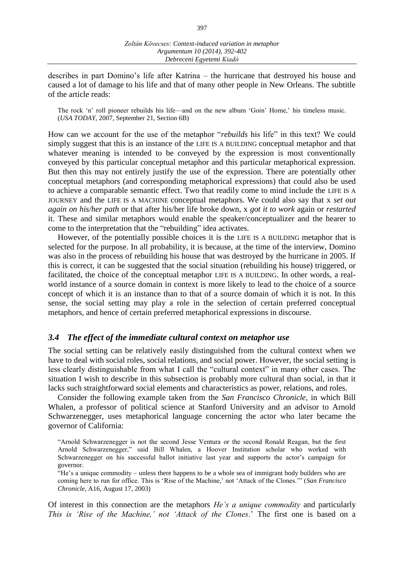describes in part Domino's life after Katrina – the hurricane that destroyed his house and caused a lot of damage to his life and that of many other people in New Orleans. The subtitle of the article reads:

The rock 'n' roll pioneer rebuilds his life—and on the new album 'Goin' Home,' his timeless music. (*USA TODAY*, 2007, September 21, Section 6B)

How can we account for the use of the metaphor "*rebuilds* his life" in this text? We could simply suggest that this is an instance of the LIFE IS A BUILDING conceptual metaphor and that whatever meaning is intended to be conveyed by the expression is most conventionally conveyed by this particular conceptual metaphor and this particular metaphorical expression. But then this may not entirely justify the use of the expression. There are potentially other conceptual metaphors (and corresponding metaphorical expressions) that could also be used to achieve a comparable semantic effect. Two that readily come to mind include the LIFE IS A JOURNEY and the LIFE IS A MACHINE conceptual metaphors. We could also say that x *set out again on his/her path* or that after his/her life broke down, x *got it to work* again or *restarted* it. These and similar metaphors would enable the speaker/conceptualizer and the hearer to come to the interpretation that the "rebuilding" idea activates.

However, of the potentially possible choices it is the LIFE IS A BUILDING metaphor that is selected for the purpose. In all probability, it is because, at the time of the interview, Domino was also in the process of rebuilding his house that was destroyed by the hurricane in 2005. If this is correct, it can be suggested that the social situation (rebuilding his house) triggered, or facilitated, the choice of the conceptual metaphor LIFE IS A BUILDING. In other words, a realworld instance of a source domain in context is more likely to lead to the choice of a source concept of which it is an instance than to that of a source domain of which it is not. In this sense, the social setting may play a role in the selection of certain preferred conceptual metaphors, and hence of certain preferred metaphorical expressions in discourse.

## *3.4 The effect of the immediate cultural context on metaphor use*

The social setting can be relatively easily distinguished from the cultural context when we have to deal with social roles, social relations, and social power. However, the social setting is less clearly distinguishable from what I call the "cultural context" in many other cases. The situation I wish to describe in this subsection is probably more cultural than social, in that it lacks such straightforward social elements and characteristics as power, relations, and roles.

Consider the following example taken from the *San Francisco Chronicle*, in which Bill Whalen, a professor of political science at Stanford University and an advisor to Arnold Schwarzenegger, uses metaphorical language concerning the actor who later became the governor of California:

"Arnold Schwarzenegger is not the second Jesse Ventura or the second Ronald Reagan, but the first Arnold Schwarzenegger," said Bill Whalen, a Hoover Institution scholar who worked with Schwarzenegger on his successful ballot initiative last year and supports the actor's campaign for governor.

"He's a unique commodity – unless there happens to be a whole sea of immigrant body builders who are coming here to run for office. This is 'Rise of the Machine,' not 'Attack of the Clones.'" (*San Francisco Chronicle*, A16, August 17, 2003)

Of interest in this connection are the metaphors *He's a unique commodity* and particularly *This is 'Rise of the Machine,' not 'Attack of the Clones*.' The first one is based on a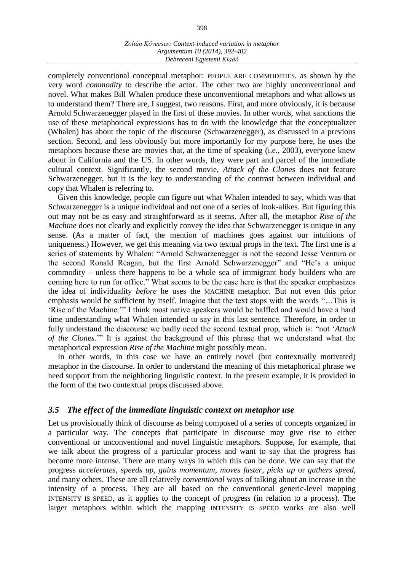#### *Zoltán Kövecses: Context-induced variation in metaphor Argumentum 10 (2014), 392-402 Debreceni Egyetemi Kiadó*

completely conventional conceptual metaphor: PEOPLE ARE COMMODITIES, as shown by the very word *commodity* to describe the actor. The other two are highly unconventional and novel. What makes Bill Whalen produce these unconventional metaphors and what allows us to understand them? There are, I suggest, two reasons. First, and more obviously, it is because Arnold Schwarzenegger played in the first of these movies. In other words, what sanctions the use of these metaphorical expressions has to do with the knowledge that the conceptualizer (Whalen) has about the topic of the discourse (Schwarzenegger), as discussed in a previous section. Second, and less obviously but more importantly for my purpose here, he uses the metaphors because these are movies that, at the time of speaking (i.e., 2003), everyone knew about in California and the US. In other words, they were part and parcel of the immediate cultural context. Significantly, the second movie, *Attack of the Clones* does not feature Schwarzenegger, but it is the key to understanding of the contrast between individual and copy that Whalen is referring to.

Given this knowledge, people can figure out what Whalen intended to say, which was that Schwarzenegger is a unique individual and not one of a series of look-alikes. But figuring this out may not be as easy and straightforward as it seems. After all, the metaphor *Rise of the Machine* does not clearly and explicitly convey the idea that Schwarzenegger is unique in any sense. (As a matter of fact, the mention of machines goes against our intuitions of uniqueness.) However, we get this meaning via two textual props in the text. The first one is a series of statements by Whalen: "Arnold Schwarzenegger is not the second Jesse Ventura or the second Ronald Reagan, but the first Arnold Schwarzenegger" and "He's a unique commodity – unless there happens to be a whole sea of immigrant body builders who are coming here to run for office." What seems to be the case here is that the speaker emphasizes the idea of individuality *before* he uses the MACHINE metaphor. But not even this prior emphasis would be sufficient by itself. Imagine that the text stops with the words "…This is 'Rise of the Machine.'" I think most native speakers would be baffled and would have a hard time understanding what Whalen intended to say in this last sentence. Therefore, in order to fully understand the discourse we badly need the second textual prop, which is: "not '*Attack of the Clones*.'" It is against the background of this phrase that we understand what the metaphorical expression *Rise of the Machine* might possibly mean.

In other words, in this case we have an entirely novel (but contextually motivated) metaphor in the discourse. In order to understand the meaning of this metaphorical phrase we need support from the neighboring linguistic context. In the present example, it is provided in the form of the two contextual props discussed above.

## *3.5 The effect of the immediate linguistic context on metaphor use*

Let us provisionally think of discourse as being composed of a series of concepts organized in a particular way. The concepts that participate in discourse may give rise to either conventional or unconventional and novel linguistic metaphors. Suppose, for example, that we talk about the progress of a particular process and want to say that the progress has become more intense. There are many ways in which this can be done. We can say that the progress *accelerates*, *speeds up*, *gains momentum*, *moves faster*, *picks up* or *gathers speed*, and many others. These are all relatively *conventional* ways of talking about an increase in the intensity of a process. They are all based on the conventional generic-level mapping INTENSITY IS SPEED, as it applies to the concept of progress (in relation to a process). The larger metaphors within which the mapping INTENSITY IS SPEED works are also well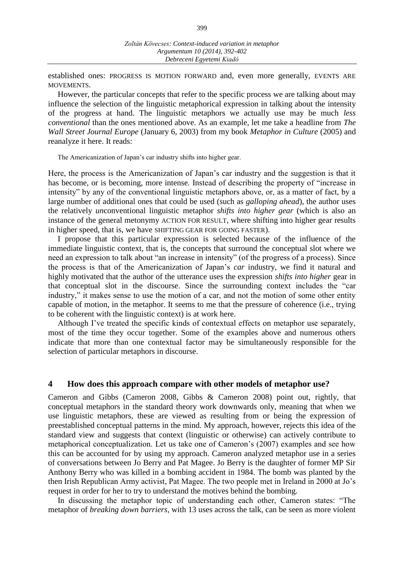established ones: PROGRESS IS MOTION FORWARD and, even more generally, EVENTS ARE MOVEMENTS.

However, the particular concepts that refer to the specific process we are talking about may influence the selection of the linguistic metaphorical expression in talking about the intensity of the progress at hand. The linguistic metaphors we actually use may be much *less conventional* than the ones mentioned above. As an example, let me take a headline from *The Wall Street Journal Europe* (January 6, 2003) from my book *Metaphor in Culture* (2005) and reanalyze it here. It reads:

The Americanization of Japan's car industry shifts into higher gear.

Here, the process is the Americanization of Japan's car industry and the suggestion is that it has become, or is becoming, more intense. Instead of describing the property of "increase in intensity" by any of the conventional linguistic metaphors above, or, as a matter of fact, by a large number of additional ones that could be used (such as *galloping ahead*), the author uses the relatively *un*conventional linguistic metaphor *shifts into higher gear* (which is also an instance of the general metonymy ACTION FOR RESULT, where shifting into higher gear results in higher speed, that is, we have SHIFTING GEAR FOR GOING FASTER).

I propose that this particular expression is selected because of the influence of the immediate linguistic context, that is, the concepts that surround the conceptual slot where we need an expression to talk about "an increase in intensity" (of the progress of a process). Since the process is that of the Americanization of Japan's *car* industry, we find it natural and highly motivated that the author of the utterance uses the expression *shifts into higher* gear in that conceptual slot in the discourse. Since the surrounding context includes the "car industry," it makes sense to use the motion of a car, and not the motion of some other entity capable of motion, in the metaphor. It seems to me that the pressure of coherence (i.e., trying to be coherent with the linguistic context) is at work here.

Although I've treated the specific kinds of contextual effects on metaphor use separately, most of the time they occur together. Some of the examples above and numerous others indicate that more than one contextual factor may be simultaneously responsible for the selection of particular metaphors in discourse.

## **4 How does this approach compare with other models of metaphor use?**

Cameron and Gibbs (Cameron 2008, Gibbs & Cameron 2008) point out, rightly, that conceptual metaphors in the standard theory work downwards only, meaning that when we use linguistic metaphors, these are viewed as resulting from or being the expression of preestablished conceptual patterns in the mind. My approach, however, rejects this idea of the standard view and suggests that context (linguistic or otherwise) can actively contribute to metaphorical conceptualization. Let us take one of Cameron's (2007) examples and see how this can be accounted for by using my approach. Cameron analyzed metaphor use in a series of conversations between Jo Berry and Pat Magee. Jo Berry is the daughter of former MP Sir Anthony Berry who was killed in a bombing accident in 1984. The bomb was planted by the then Irish Republican Army activist, Pat Magee. The two people met in Ireland in 2000 at Jo's request in order for her to try to understand the motives behind the bombing.

In discussing the metaphor topic of understanding each other, Cameron states: "The metaphor of *breaking down barriers*, with 13 uses across the talk, can be seen as more violent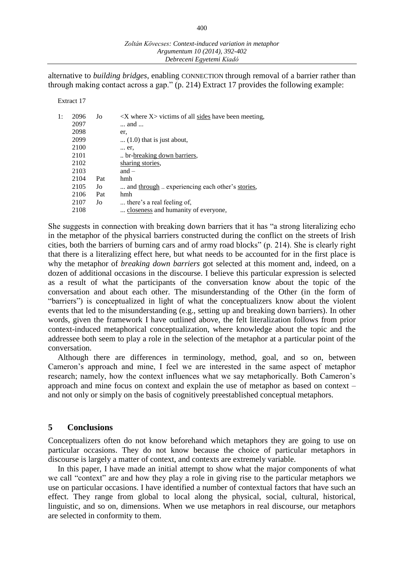alternative to *building bridges*, enabling CONNECTION through removal of a barrier rather than through making contact across a gap." (p. 214) Extract 17 provides the following example:

Extract 17

| 1: | 2096 | Jo  | $\langle X \rangle$ where $X$ victims of all sides have been meeting, |
|----|------|-----|-----------------------------------------------------------------------|
|    | 2097 |     | and                                                                   |
|    | 2098 |     | er.                                                                   |
|    | 2099 |     | $\dots$ (1.0) that is just about,                                     |
|    | 2100 |     | er,                                                                   |
|    | 2101 |     | br-breaking down barriers,                                            |
|    | 2102 |     | sharing stories,                                                      |
|    | 2103 |     | and $-$                                                               |
|    | 2104 | Pat | hmh                                                                   |
|    | 2105 | Jo  | and through  experiencing each other's stories,                       |
|    | 2106 | Pat | hmh                                                                   |
|    | 2107 | Jo  | there's a real feeling of,                                            |
|    | 2108 |     | closeness and humanity of everyone,                                   |
|    |      |     |                                                                       |

She suggests in connection with breaking down barriers that it has "a strong literalizing echo in the metaphor of the physical barriers constructed during the conflict on the streets of Irish cities, both the barriers of burning cars and of army road blocks" (p. 214). She is clearly right that there is a literalizing effect here, but what needs to be accounted for in the first place is why the metaphor of *breaking down barriers* got selected at this moment and, indeed, on a dozen of additional occasions in the discourse. I believe this particular expression is selected as a result of what the participants of the conversation know about the topic of the conversation and about each other. The misunderstanding of the Other (in the form of "barriers") is conceptualized in light of what the conceptualizers know about the violent events that led to the misunderstanding (e.g., setting up and breaking down barriers). In other words, given the framework I have outlined above, the felt literalization follows from prior context-induced metaphorical conceptualization, where knowledge about the topic and the addressee both seem to play a role in the selection of the metaphor at a particular point of the conversation.

Although there are differences in terminology, method, goal, and so on, between Cameron's approach and mine, I feel we are interested in the same aspect of metaphor research; namely, how the context influences what we say metaphorically. Both Cameron's approach and mine focus on context and explain the use of metaphor as based on context – and not only or simply on the basis of cognitively preestablished conceptual metaphors.

## **5 Conclusions**

Conceptualizers often do not know beforehand which metaphors they are going to use on particular occasions. They do not know because the choice of particular metaphors in discourse is largely a matter of context, and contexts are extremely variable.

In this paper, I have made an initial attempt to show what the major components of what we call "context" are and how they play a role in giving rise to the particular metaphors we use on particular occasions. I have identified a number of contextual factors that have such an effect. They range from global to local along the physical, social, cultural, historical, linguistic, and so on, dimensions. When we use metaphors in real discourse, our metaphors are selected in conformity to them.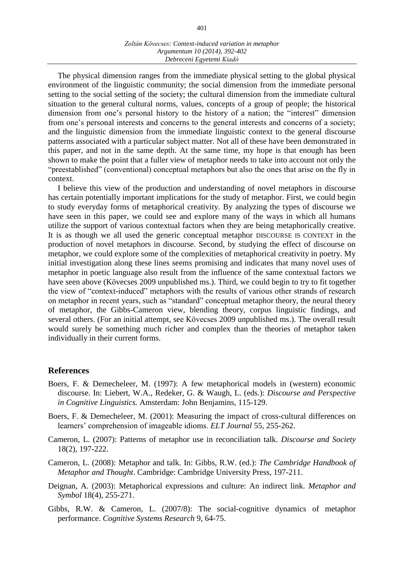The physical dimension ranges from the immediate physical setting to the global physical environment of the linguistic community; the social dimension from the immediate personal setting to the social setting of the society; the cultural dimension from the immediate cultural situation to the general cultural norms, values, concepts of a group of people; the historical dimension from one's personal history to the history of a nation; the "interest" dimension from one's personal interests and concerns to the general interests and concerns of a society; and the linguistic dimension from the immediate linguistic context to the general discourse patterns associated with a particular subject matter. Not all of these have been demonstrated in this paper, and not in the same depth. At the same time, my hope is that enough has been shown to make the point that a fuller view of metaphor needs to take into account not only the "preestablished" (conventional) conceptual metaphors but also the ones that arise on the fly in context.

I believe this view of the production and understanding of novel metaphors in discourse has certain potentially important implications for the study of metaphor. First, we could begin to study everyday forms of metaphorical creativity. By analyzing the types of discourse we have seen in this paper, we could see and explore many of the ways in which all humans utilize the support of various contextual factors when they are being metaphorically creative. It is as though we all used the generic conceptual metaphor DISCOURSE IS CONTEXT in the production of novel metaphors in discourse. Second, by studying the effect of discourse on metaphor, we could explore some of the complexities of metaphorical creativity in poetry. My initial investigation along these lines seems promising and indicates that many novel uses of metaphor in poetic language also result from the influence of the same contextual factors we have seen above (Kövecses 2009 unpublished ms.). Third, we could begin to try to fit together the view of "context-induced" metaphors with the results of various other strands of research on metaphor in recent years, such as "standard" conceptual metaphor theory, the neural theory of metaphor, the Gibbs-Cameron view, blending theory, corpus linguistic findings, and several others. (For an initial attempt, see Kövecses 2009 unpublished ms.). The overall result would surely be something much richer and complex than the theories of metaphor taken individually in their current forms.

## **References**

- Boers, F. & Demecheleer, M. (1997): A few metaphorical models in (western) economic discourse. In: Liebert, W.A., Redeker, G. & Waugh, L. (eds.): *Discourse and Perspective in Cognitive Linguistics.* Amsterdam: John Benjamins, 115-129.
- Boers, F. & Demecheleer, M. (2001): Measuring the impact of cross-cultural differences on learners' comprehension of imageable idioms. *ELT Journal* 55, 255-262.
- Cameron, L. (2007): Patterns of metaphor use in reconciliation talk. *Discourse and Society* 18(2), 197-222.
- Cameron, L. (2008): Metaphor and talk. In: Gibbs, R.W. (ed.): *The Cambridge Handbook of Metaphor and Thought*. Cambridge: Cambridge University Press, 197-211.
- Deignan, A. (2003): Metaphorical expressions and culture: An indirect link. *Metaphor and Symbol* 18(4), 255-271.
- Gibbs, R.W. & Cameron, L. (2007/8): The social-cognitive dynamics of metaphor performance. *Cognitive Systems Research* 9, 64-75.